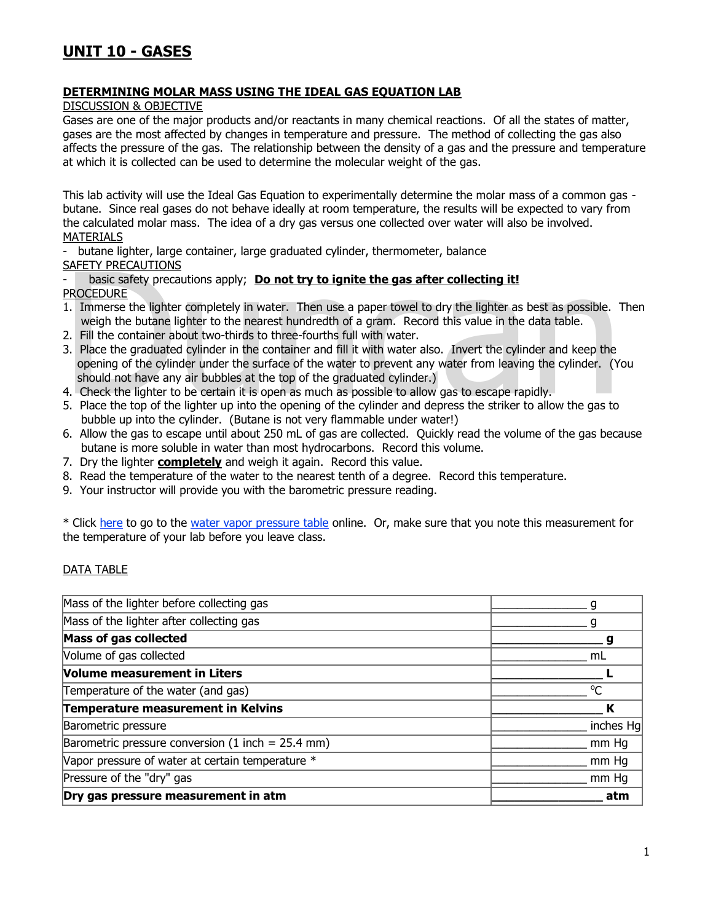## **DETERMINING MOLAR MASS USING THE IDEAL GAS EQUATION LAB**

DISCUSSION & OBJECTIVE

Gases are one of the major products and/or reactants in many chemical reactions. Of all the states of matter, gases are the most affected by changes in temperature and pressure. The method of collecting the gas also affects the pressure of the gas. The relationship between the density of a gas and the pressure and temperature at which it is collected can be used to determine the molecular weight of the gas.

This lab activity will use the Ideal Gas Equation to experimentally determine the molar mass of a common gas butane. Since real gases do not behave ideally at room temperature, the results will be expected to vary from the calculated molar mass. The idea of a dry gas versus one collected over water will also be involved. MATERIALS

- butane lighter, large container, large graduated cylinder, thermometer, balance

SAFETY PRECAUTIONS

basic safety precautions apply; **Do not try to ignite the gas after collecting it!** PROCEDURE

- 1. Immerse the lighter completely in water. Then use a paper towel to dry the lighter as best as possible. Then weigh the butane lighter to the nearest hundredth of a gram. Record this value in the data table.
- 2. Fill the container about two-thirds to three-fourths full with water.
- SAFETY PRECAUTIONS<br>
 basic safety precautions apply; **Do not try to ignite the gas after collecting it!**<br>
PROCEDURE<br>
1. Immerse the lighter completely in water. Then use a paper towel to dry the lighter as best as possib 3. Place the graduated cylinder in the container and fill it with water also. Invert the cylinder and keep the opening of the cylinder under the surface of the water to prevent any water from leaving the cylinder. (You should not have any air bubbles at the top of the graduated cylinder.)
- 4. Check the lighter to be certain it is open as much as possible to allow gas to escape rapidly.
- 5. Place the top of the lighter up into the opening of the cylinder and depress the striker to allow the gas to bubble up into the cylinder. (Butane is not very flammable under water!)
- 6. Allow the gas to escape until about 250 mL of gas are collected. Quickly read the volume of the gas because butane is more soluble in water than most hydrocarbons. Record this volume.
- 7. Dry the lighter **completely** and weigh it again. Record this value.
- 8. Read the temperature of the water to the nearest tenth of a degree. Record this temperature.
- 9. Your instructor will provide you with the barometric pressure reading.

\* Click here to go to the water vapor pressure table online. Or, make sure that you note this measurement for the temperature of your lab before you leave class.

## DATA TABLE

| Dry gas pressure measurement in atm                 | atm       |
|-----------------------------------------------------|-----------|
| Pressure of the "dry" gas                           | mm Hq     |
| Vapor pressure of water at certain temperature *    | mm Hq     |
| Barometric pressure conversion (1 inch = $25.4$ mm) | mm Hq     |
| Barometric pressure                                 | inches Hg |
| Temperature measurement in Kelvins                  | К         |
| Temperature of the water (and gas)                  | $\Omega$  |
| <b>Volume measurement in Liters</b>                 |           |
| Volume of gas collected                             | mL        |
| <b>Mass of gas collected</b>                        |           |
| Mass of the lighter after collecting gas            |           |
| Mass of the lighter before collecting gas           |           |